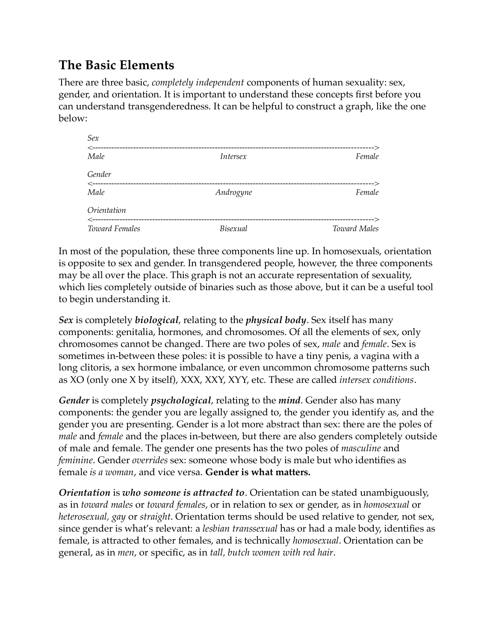## **The Basic Elements**

There are three basic, *completely independent* components of human sexuality: sex, gender, and orientation. It is important to understand these concepts first before you can understand transgenderedness. It can be helpful to construct a graph, like the one below:

| Sex                         |                 |                     |
|-----------------------------|-----------------|---------------------|
| $\leftarrow$ --<br>Male     | Intersex        | Female              |
| Gender                      |                 |                     |
| $\leftarrow$ ------<br>Male | Androgyne       | Female              |
| Orientation                 |                 |                     |
| <b>Toward Females</b>       | <b>Bisexual</b> | <b>Toward Males</b> |

In most of the population, these three components line up. In homosexuals, orientation is opposite to sex and gender. In transgendered people, however, the three components may be all over the place. This graph is not an accurate representation of sexuality, which lies completely outside of binaries such as those above, but it can be a useful tool to begin understanding it.

*Sex* is completely *biological*, relating to the *physical body*. Sex itself has many components: genitalia, hormones, and chromosomes. Of all the elements of sex, only chromosomes cannot be changed. There are two poles of sex, *male* and *female*. Sex is sometimes in-between these poles: it is possible to have a tiny penis, a vagina with a long clitoris, a sex hormone imbalance, or even uncommon chromosome patterns such as XO (only one X by itself), XXX, XXY, XYY, etc. These are called *intersex conditions*.

*Gender* is completely *psychological*, relating to the *mind*. Gender also has many components: the gender you are legally assigned to, the gender you identify as, and the gender you are presenting. Gender is a lot more abstract than sex: there are the poles of *male* and *female* and the places in-between, but there are also genders completely outside of male and female. The gender one presents has the two poles of *masculine* and *feminine*. Gender *overrides* sex: someone whose body is male but who identifies as female *is a woman*, and vice versa. **Gender is what matters.**

*Orientation* is *who someone is attracted to*. Orientation can be stated unambiguously, as in *toward males* or *toward females*, or in relation to sex or gender, as in *homosexual* or *heterosexual, gay* or *straight*. Orientation terms should be used relative to gender, not sex, since gender is what's relevant: a *lesbian transsexual* has or had a male body, identifies as female, is attracted to other females, and is technically *homosexual*. Orientation can be general, as in *men*, or specific, as in *tall, butch women with red hair*.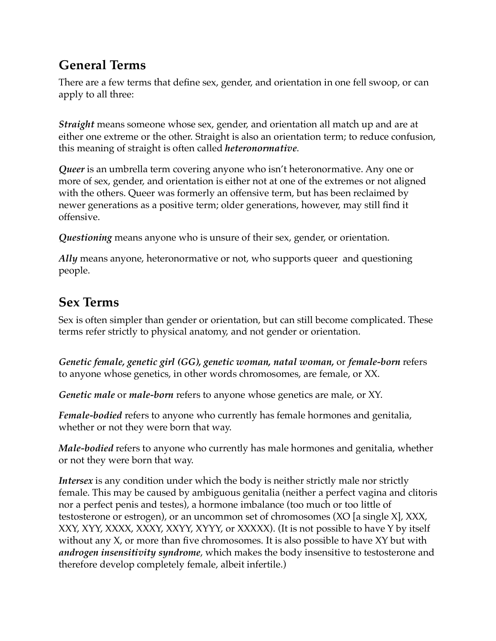### **General Terms**

There are a few terms that define sex, gender, and orientation in one fell swoop, or can apply to all three:

*Straight* means someone whose sex, gender, and orientation all match up and are at either one extreme or the other. Straight is also an orientation term; to reduce confusion, this meaning of straight is often called *heteronormative*.

*Queer* is an umbrella term covering anyone who isn't heteronormative. Any one or more of sex, gender, and orientation is either not at one of the extremes or not aligned with the others. Queer was formerly an offensive term, but has been reclaimed by newer generations as a positive term; older generations, however, may still find it offensive.

*Questioning* means anyone who is unsure of their sex, gender, or orientation.

*Ally* means anyone, heteronormative or not, who supports queer and questioning people.

#### **Sex Terms**

Sex is often simpler than gender or orientation, but can still become complicated. These terms refer strictly to physical anatomy, and not gender or orientation.

*Genetic female, genetic girl (GG), genetic woman, natal woman,* or *female-born* refers to anyone whose genetics, in other words chromosomes, are female, or XX.

*Genetic male* or *male-born* refers to anyone whose genetics are male, or XY.

*Female-bodied* refers to anyone who currently has female hormones and genitalia, whether or not they were born that way.

*Male-bodied* refers to anyone who currently has male hormones and genitalia, whether or not they were born that way.

*Intersex* is any condition under which the body is neither strictly male nor strictly female. This may be caused by ambiguous genitalia (neither a perfect vagina and clitoris nor a perfect penis and testes), a hormone imbalance (too much or too little of testosterone or estrogen), or an uncommon set of chromosomes (XO [a single X], XXX, XXY, XYY, XXXX, XXXY, XXYY, XYYY, or XXXXX). (It is not possible to have Y by itself without any X, or more than five chromosomes. It is also possible to have XY but with *androgen insensitivity syndrome*, which makes the body insensitive to testosterone and therefore develop completely female, albeit infertile.)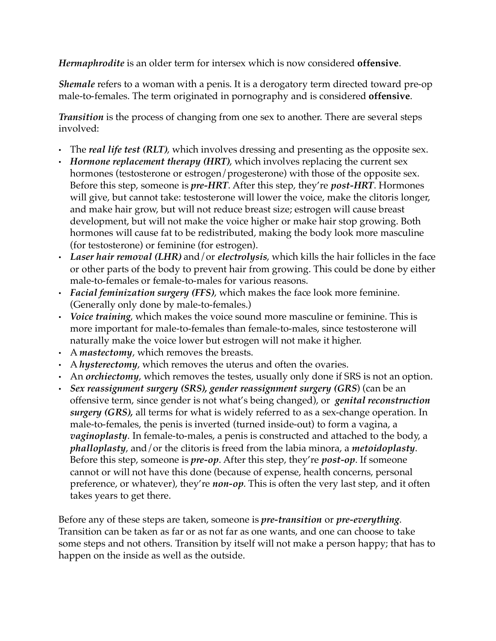*Hermaphrodite* is an older term for intersex which is now considered **offensive**.

*Shemale* refers to a woman with a penis. It is a derogatory term directed toward pre-op male-to-females. The term originated in pornography and is considered **offensive**.

*Transition* is the process of changing from one sex to another. There are several steps involved:

- The *real life test (RLT)*, which involves dressing and presenting as the opposite sex.
- *Hormone replacement therapy (HRT)*, which involves replacing the current sex hormones (testosterone or estrogen/progesterone) with those of the opposite sex. Before this step, someone is *pre-HRT*. After this step, they're *post-HRT*. Hormones will give, but cannot take: testosterone will lower the voice, make the clitoris longer, and make hair grow, but will not reduce breast size; estrogen will cause breast development, but will not make the voice higher or make hair stop growing. Both hormones will cause fat to be redistributed, making the body look more masculine (for testosterone) or feminine (for estrogen).
- *Laser hair removal (LHR)* and/or *electrolysis*, which kills the hair follicles in the face or other parts of the body to prevent hair from growing. This could be done by either male-to-females or female-to-males for various reasons.
- *Facial feminization surgery (FFS)*, which makes the face look more feminine. (Generally only done by male-to-females.)
- *Voice training*, which makes the voice sound more masculine or feminine. This is more important for male-to-females than female-to-males, since testosterone will naturally make the voice lower but estrogen will not make it higher.
- A *mastectomy*, which removes the breasts.
- A *hysterectomy*, which removes the uterus and often the ovaries.
- An *orchiectomy*, which removes the testes, usually only done if SRS is not an option.
- *Sex reassignment surgery (SRS), gender reassignment surgery (GRS*) (can be an offensive term, since gender is not what's being changed), or *genital reconstruction surgery (GRS),* all terms for what is widely referred to as a sex-change operation. In male-to-females, the penis is inverted (turned inside-out) to form a vagina, a *vaginoplasty*. In female-to-males, a penis is constructed and attached to the body, a *phalloplasty*, and/or the clitoris is freed from the labia minora, a *metoidoplasty*. Before this step, someone is *pre-op*. After this step, they're *post-op*. If someone cannot or will not have this done (because of expense, health concerns, personal preference, or whatever), they're *non-op*. This is often the very last step, and it often takes years to get there.

Before any of these steps are taken, someone is *pre-transition* or *pre-everything*. Transition can be taken as far or as not far as one wants, and one can choose to take some steps and not others. Transition by itself will not make a person happy; that has to happen on the inside as well as the outside.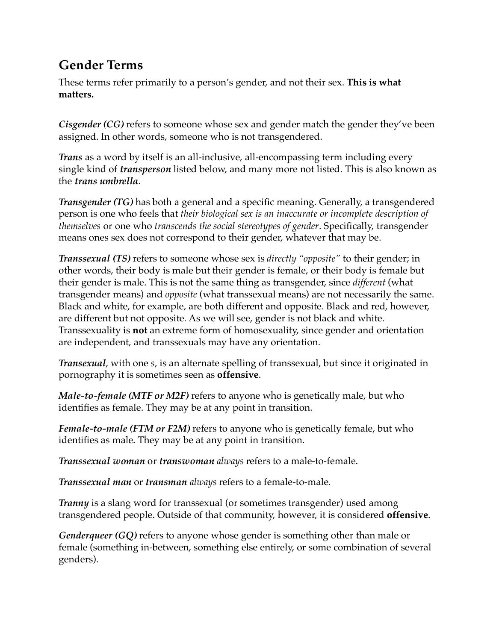### **Gender Terms**

These terms refer primarily to a person's gender, and not their sex. **This is what matters.**

*Cisgender (CG)* refers to someone whose sex and gender match the gender they've been assigned. In other words, someone who is not transgendered.

*Trans* as a word by itself is an all-inclusive, all-encompassing term including every single kind of *transperson* listed below, and many more not listed. This is also known as the *trans umbrella*.

*Transgender (TG)* has both a general and a specific meaning. Generally, a transgendered person is one who feels that *their biological sex is an inaccurate or incomplete description of themselves* or one who *transcends the social stereotypes of gender*. Specifically, transgender means ones sex does not correspond to their gender, whatever that may be.

*Transsexual (TS)* refers to someone whose sex is *directly "opposite"* to their gender; in other words, their body is male but their gender is female, or their body is female but their gender is male. This is not the same thing as transgender, since *different* (what transgender means) and *opposite* (what transsexual means) are not necessarily the same. Black and white, for example, are both different and opposite. Black and red, however, are different but not opposite. As we will see, gender is not black and white. Transsexuality is **not** an extreme form of homosexuality, since gender and orientation are independent, and transsexuals may have any orientation.

*Transexual*, with one *s*, is an alternate spelling of transsexual, but since it originated in pornography it is sometimes seen as **offensive**.

*Male-to-female (MTF or M2F)* refers to anyone who is genetically male, but who identifies as female. They may be at any point in transition.

*Female-to-male (FTM or F2M)* refers to anyone who is genetically female, but who identifies as male. They may be at any point in transition.

*Transsexual woman* or *transwoman always* refers to a male-to-female.

*Transsexual man* or *transman always* refers to a female-to-male.

*Tranny* is a slang word for transsexual (or sometimes transgender) used among transgendered people. Outside of that community, however, it is considered **offensive**.

*Genderqueer (GQ)* refers to anyone whose gender is something other than male or female (something in-between, something else entirely, or some combination of several genders).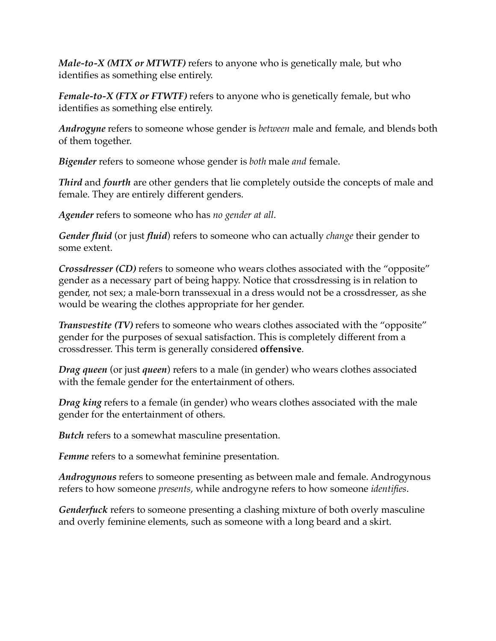*Male-to-X (MTX or MTWTF)* refers to anyone who is genetically male, but who identifies as something else entirely.

*Female-to-X (FTX or FTWTF)* refers to anyone who is genetically female, but who identifies as something else entirely.

*Androgyne* refers to someone whose gender is *between* male and female, and blends both of them together.

*Bigender* refers to someone whose gender is *both* male *and* female.

*Third* and *fourth* are other genders that lie completely outside the concepts of male and female. They are entirely different genders.

*Agender* refers to someone who has *no gender at all*.

*Gender fluid* (or just *fluid*) refers to someone who can actually *change* their gender to some extent.

*Crossdresser (CD)* refers to someone who wears clothes associated with the "opposite" gender as a necessary part of being happy. Notice that crossdressing is in relation to gender, not sex; a male-born transsexual in a dress would not be a crossdresser, as she would be wearing the clothes appropriate for her gender.

*Transvestite (TV)* refers to someone who wears clothes associated with the "opposite" gender for the purposes of sexual satisfaction. This is completely different from a crossdresser. This term is generally considered **offensive**.

*Drag queen* (or just *queen*) refers to a male (in gender) who wears clothes associated with the female gender for the entertainment of others.

*Drag king* refers to a female (in gender) who wears clothes associated with the male gender for the entertainment of others.

*Butch* refers to a somewhat masculine presentation.

*Femme* refers to a somewhat feminine presentation.

*Androgynous* refers to someone presenting as between male and female. Androgynous refers to how someone *presents*, while androgyne refers to how someone *identifies*.

*Genderfuck* refers to someone presenting a clashing mixture of both overly masculine and overly feminine elements, such as someone with a long beard and a skirt.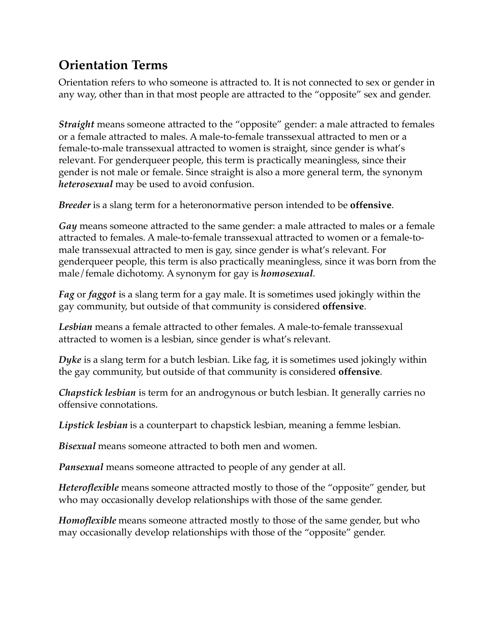## **Orientation Terms**

Orientation refers to who someone is attracted to. It is not connected to sex or gender in any way, other than in that most people are attracted to the "opposite" sex and gender.

*Straight* means someone attracted to the "opposite" gender: a male attracted to females or a female attracted to males. A male-to-female transsexual attracted to men or a female-to-male transsexual attracted to women is straight, since gender is what's relevant. For genderqueer people, this term is practically meaningless, since their gender is not male or female. Since straight is also a more general term, the synonym *heterosexual* may be used to avoid confusion.

*Breeder* is a slang term for a heteronormative person intended to be **offensive**.

*Gay* means someone attracted to the same gender: a male attracted to males or a female attracted to females. A male-to-female transsexual attracted to women or a female-tomale transsexual attracted to men is gay, since gender is what's relevant. For genderqueer people, this term is also practically meaningless, since it was born from the male/female dichotomy. A synonym for gay is *homosexual*.

*Fag* or *faggot* is a slang term for a gay male. It is sometimes used jokingly within the gay community, but outside of that community is considered **offensive**.

*Lesbian* means a female attracted to other females. A male-to-female transsexual attracted to women is a lesbian, since gender is what's relevant.

*Dyke* is a slang term for a butch lesbian. Like fag, it is sometimes used jokingly within the gay community, but outside of that community is considered **offensive**.

*Chapstick lesbian* is term for an androgynous or butch lesbian. It generally carries no offensive connotations.

*Lipstick lesbian* is a counterpart to chapstick lesbian, meaning a femme lesbian.

*Bisexual* means someone attracted to both men and women.

*Pansexual* means someone attracted to people of any gender at all.

*Heteroflexible* means someone attracted mostly to those of the "opposite" gender, but who may occasionally develop relationships with those of the same gender.

*Homoflexible* means someone attracted mostly to those of the same gender, but who may occasionally develop relationships with those of the "opposite" gender.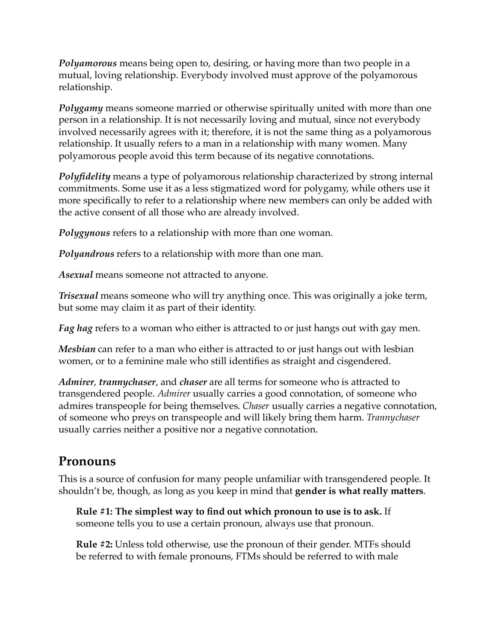*Polyamorous* means being open to, desiring, or having more than two people in a mutual, loving relationship. Everybody involved must approve of the polyamorous relationship.

*Polygamy* means someone married or otherwise spiritually united with more than one person in a relationship. It is not necessarily loving and mutual, since not everybody involved necessarily agrees with it; therefore, it is not the same thing as a polyamorous relationship. It usually refers to a man in a relationship with many women. Many polyamorous people avoid this term because of its negative connotations.

*Polyfidelity* means a type of polyamorous relationship characterized by strong internal commitments. Some use it as a less stigmatized word for polygamy, while others use it more specifically to refer to a relationship where new members can only be added with the active consent of all those who are already involved.

*Polygynous* refers to a relationship with more than one woman.

*Polyandrous* refers to a relationship with more than one man.

*Asexual* means someone not attracted to anyone.

*Trisexual* means someone who will try anything once. This was originally a joke term, but some may claim it as part of their identity.

*Fag hag* refers to a woman who either is attracted to or just hangs out with gay men.

*Mesbian* can refer to a man who either is attracted to or just hangs out with lesbian women, or to a feminine male who still identifies as straight and cisgendered.

*Admirer*, *trannychaser*, and *chaser* are all terms for someone who is attracted to transgendered people. *Admirer* usually carries a good connotation, of someone who admires transpeople for being themselves. *Chaser* usually carries a negative connotation, of someone who preys on transpeople and will likely bring them harm. *Trannychaser* usually carries neither a positive nor a negative connotation.

#### **Pronouns**

This is a source of confusion for many people unfamiliar with transgendered people. It shouldn't be, though, as long as you keep in mind that **gender is what really matters**.

**Rule #1: The simplest way to find out which pronoun to use is to ask.** If someone tells you to use a certain pronoun, always use that pronoun.

**Rule #2:** Unless told otherwise, use the pronoun of their gender. MTFs should be referred to with female pronouns, FTMs should be referred to with male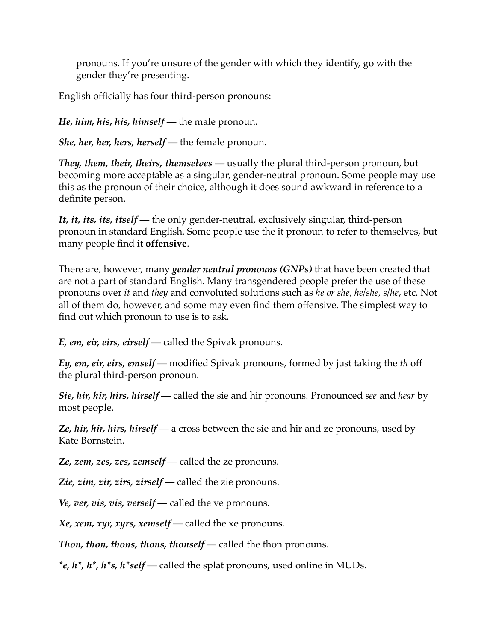pronouns. If you're unsure of the gender with which they identify, go with the gender they're presenting.

English officially has four third-person pronouns:

*He, him, his, his, himself* — the male pronoun.

*She, her, her, hers, herself* — the female pronoun.

*They, them, their, theirs, themselves* — usually the plural third-person pronoun, but becoming more acceptable as a singular, gender-neutral pronoun. Some people may use this as the pronoun of their choice, although it does sound awkward in reference to a definite person.

*It, it, its, its, itself* — the only gender-neutral, exclusively singular, third-person pronoun in standard English. Some people use the it pronoun to refer to themselves, but many people find it **offensive**.

There are, however, many *gender neutral pronouns (GNPs)* that have been created that are not a part of standard English. Many transgendered people prefer the use of these pronouns over *it* and *they* and convoluted solutions such as *he or she, he/she, s/he*, etc. Not all of them do, however, and some may even find them offensive. The simplest way to find out which pronoun to use is to ask.

*E, em, eir, eirs, eirself* — called the Spivak pronouns.

*Ey, em, eir, eirs, emself* — modified Spivak pronouns, formed by just taking the *th* off the plural third-person pronoun.

*Sie, hir, hir, hirs, hirself* — called the sie and hir pronouns. Pronounced *see* and *hear* by most people.

*Ze, hir, hir, hirs, hirself* — a cross between the sie and hir and ze pronouns, used by Kate Bornstein.

*Ze, zem, zes, zes, zemself* — called the ze pronouns.

*Zie, zim, zir, zirs, zirself* — called the zie pronouns.

*Ve, ver, vis, vis, verself* — called the ve pronouns.

*Xe, xem, xyr, xyrs, xemself* — called the xe pronouns.

*Thon, thon, thons, thons, thonself* — called the thon pronouns.

*\*e, h\*, h\*, h\*s, h\*self* — called the splat pronouns, used online in MUDs.